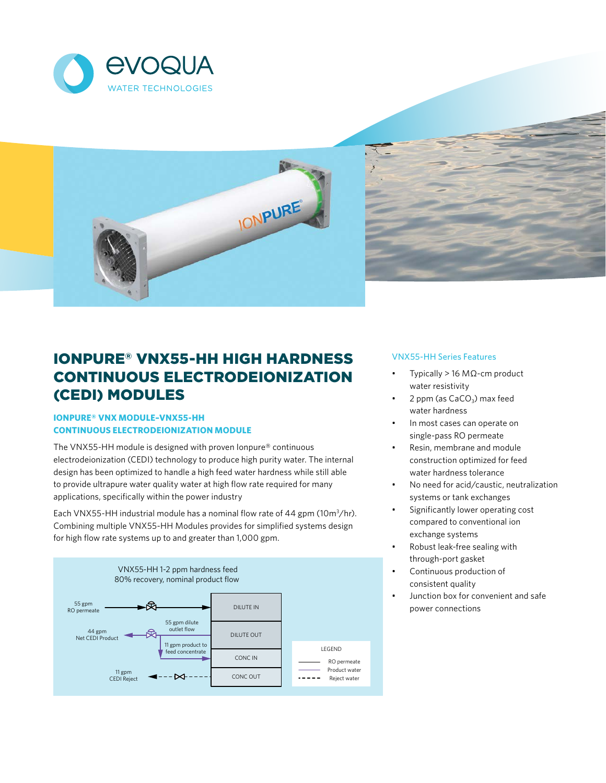





# IONPURE® VNX55-HH HIGH HARDNESS CONTINUOUS ELECTRODEIONIZATION (CEDI) MODULES

## **IONPURE® VNX MODULE–VNX55-HH CONTINUOUS ELECTRODEIONIZATION MODULE**

The VNX55-HH module is designed with proven Ionpure® continuous electrodeionization (CEDI) technology to produce high purity water. The internal design has been optimized to handle a high feed water hardness while still able to provide ultrapure water quality water at high flow rate required for many applications, specifically within the power industry

Each VNX55-HH industrial module has a nominal flow rate of 44 gpm (10 $m^3$ /hr). Combining multiple VNX55-HH Modules provides for simplified systems design for high flow rate systems up to and greater than 1,000 gpm.



## VNX55-HH Series Features

- Typically > 16 MΩ-cm product water resistivity
- 2 ppm (as CaCO<sub>2</sub>) max feed water hardness
- In most cases can operate on single-pass RO permeate
- Resin, membrane and module construction optimized for feed water hardness tolerance
- No need for acid/caustic, neutralization systems or tank exchanges
- Significantly lower operating cost compared to conventional ion exchange systems
- Robust leak-free sealing with through-port gasket
- Continuous production of consistent quality
- Junction box for convenient and safe power connections